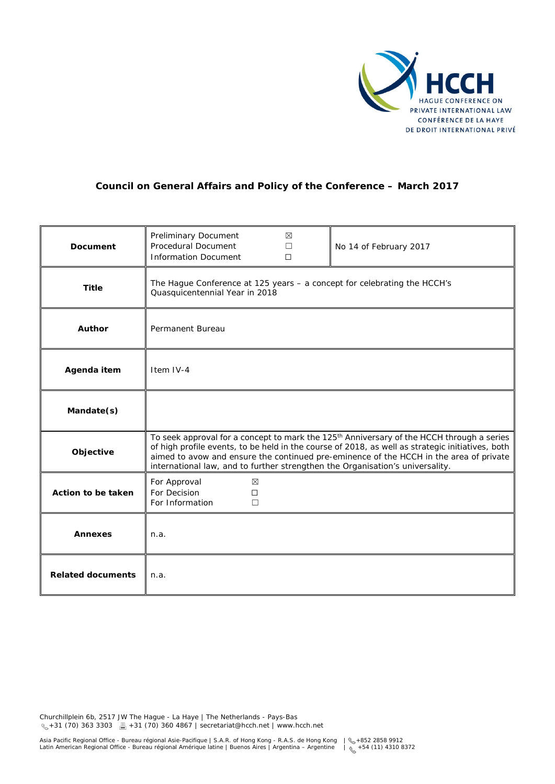

# **Council on General Affairs and Policy of the Conference – March 2017**

| <b>Document</b>          | Preliminary Document<br>Procedural Document<br><b>Information Document</b>                                                                                                                                                                                                                                                                                                           | ⊠<br>П<br>$\Box$ | No 14 of February 2017 |
|--------------------------|--------------------------------------------------------------------------------------------------------------------------------------------------------------------------------------------------------------------------------------------------------------------------------------------------------------------------------------------------------------------------------------|------------------|------------------------|
| <b>Title</b>             | The Hague Conference at 125 years - a concept for celebrating the HCCH's<br>Quasquicentennial Year in 2018                                                                                                                                                                                                                                                                           |                  |                        |
| Author                   | Permanent Bureau                                                                                                                                                                                                                                                                                                                                                                     |                  |                        |
| Agenda item              | Item IV-4                                                                                                                                                                                                                                                                                                                                                                            |                  |                        |
| Mandate(s)               |                                                                                                                                                                                                                                                                                                                                                                                      |                  |                        |
| Objective                | To seek approval for a concept to mark the 125 <sup>th</sup> Anniversary of the HCCH through a series<br>of high profile events, to be held in the course of 2018, as well as strategic initiatives, both<br>aimed to avow and ensure the continued pre-eminence of the HCCH in the area of private<br>international law, and to further strengthen the Organisation's universality. |                  |                        |
| Action to be taken       | For Approval<br>$\boxtimes$<br>For Decision<br>$\Box$<br>For Information<br>$\Box$                                                                                                                                                                                                                                                                                                   |                  |                        |
| <b>Annexes</b>           | n.a.                                                                                                                                                                                                                                                                                                                                                                                 |                  |                        |
| <b>Related documents</b> | n.a.                                                                                                                                                                                                                                                                                                                                                                                 |                  |                        |

Churchillplein 6b, 2517 JW The Hague - La Haye | The Netherlands - Pays-Bas +31 (70) 363 3303 +31 (70) 360 4867 | secretariat@hcch.net | www.hcch.net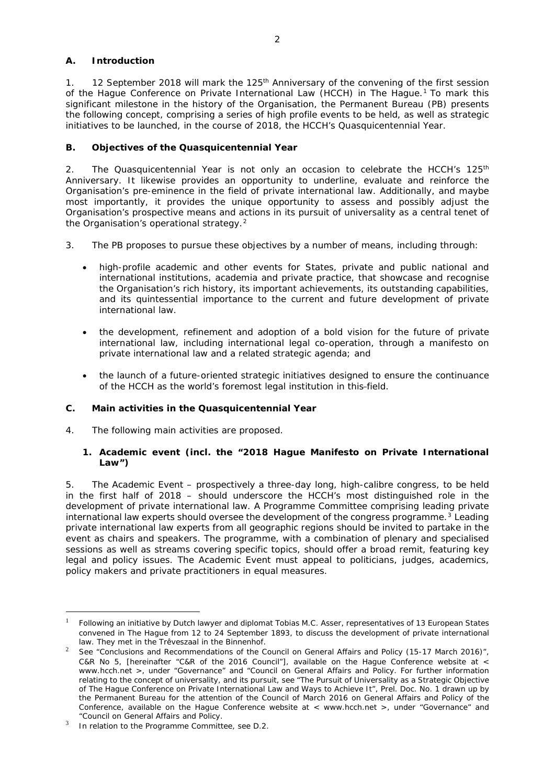## **A. Introduction**

1. 12 September 2018 will mark the 125<sup>th</sup> Anniversary of the convening of the first session of the Hague Conference on Private International Law (HCCH) in The Hague.<sup>[1](#page-1-0)</sup> To mark this significant milestone in the history of the Organisation, the Permanent Bureau (PB) presents the following concept, comprising a series of high profile events to be held, as well as strategic initiatives to be launched, in the course of 2018, the HCCH's Quasquicentennial Year.

## **B. Objectives of the Quasquicentennial Year**

2. The Quasquicentennial Year is not only an occasion to celebrate the HCCH's  $125<sup>th</sup>$ Anniversary. It likewise provides an opportunity to underline, evaluate and reinforce the Organisation's pre-eminence in the field of private international law. Additionally, and maybe most importantly, it provides the unique opportunity to assess and possibly adjust the Organisation's prospective means and actions in its pursuit of universality as a central tenet of the Organisation's operational strategy.<sup>[2](#page-1-1)</sup>

- 3. The PB proposes to pursue these objectives by a number of means, including through:
	- high-profile academic and other events for States, private and public national and international institutions, academia and private practice, that showcase and recognise the Organisation's rich history, its important achievements, its outstanding capabilities, and its quintessential importance to the current and future development of private international law.
	- the development, refinement and adoption of a bold vision for the future of private international law, including international legal co-operation, through a manifesto on private international law and a related strategic agenda; and
	- the launch of a future-oriented strategic initiatives designed to ensure the continuance of the HCCH as the world's foremost legal institution in this-field.

### **C. Main activities in the Quasquicentennial Year**

4. The following main activities are proposed.

### **1. Academic event (incl. the "2018 Hague Manifesto on Private International Law")**

5. The Academic Event – prospectively a three-day long, high-calibre congress, to be held in the first half of 2018 – should underscore the HCCH's most distinguished role in the development of private international law. A Programme Committee comprising leading private international law experts should oversee the development of the congress programme. $3$  Leading private international law experts from all geographic regions should be invited to partake in the event as chairs and speakers. The programme, with a combination of plenary and specialised sessions as well as streams covering specific topics, should offer a broad remit, featuring key legal and policy issues. The Academic Event must appeal to politicians, judges, academics, policy makers and private practitioners in equal measures.

<span id="page-1-0"></span> <sup>1</sup> Following an initiative by Dutch lawyer and diplomat Tobias M.C. Asser, representatives of 13 European States convened in The Hague from 12 to 24 September 1893, to discuss the development of private international law. They met in the *Trêveszaal* in the *Binnenhof*.

<span id="page-1-1"></span><sup>&</sup>lt;sup>2</sup> See "Conclusions and Recommendations of the Council on General Affairs and Policy (15-17 March 2016)", C&R No 5, [hereinafter "C&R of the 2016 Council"], available on the Hague Conference website at < www.hcch.net >, under "Governance" and "Council on General Affairs and Policy. For further information relating to the concept of universality, and its pursuit, see "The Pursuit of Universality as a Strategic Objective of The Hague Conference on Private International Law and Ways to Achieve It", Prel. Doc. No. 1 drawn up by the Permanent Bureau for the attention of the Council of March 2016 on General Affairs and Policy of the Conference, available on the Hague Conference website at < www.hcch.net >, under "Governance" and "Council on General Affairs and Policy.

<span id="page-1-2"></span>In relation to the Programme Committee, see D.2.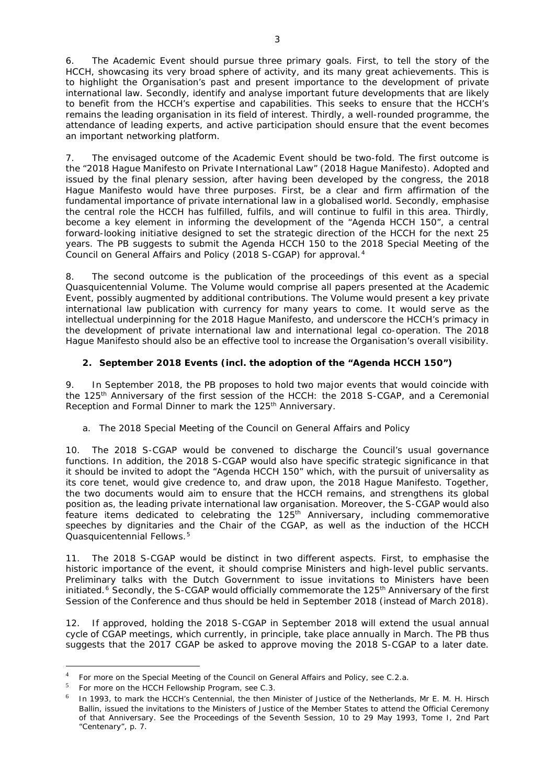6. The Academic Event should pursue three primary goals. First, to tell the story of the HCCH, showcasing its very broad sphere of activity, and its many great achievements. This is to highlight the Organisation's past and present importance to the development of private international law. Secondly, identify and analyse important future developments that are likely to benefit from the HCCH's expertise and capabilities. This seeks to ensure that the HCCH's remains the leading organisation in its field of interest. Thirdly, a well-rounded programme, the attendance of leading experts, and active participation should ensure that the event becomes an important networking platform.

7. The envisaged outcome of the Academic Event should be two-fold. The first outcome is the "2018 Hague Manifesto on Private International Law" (2018 Hague Manifesto). Adopted and issued by the final plenary session, after having been developed by the congress, the 2018 Hague Manifesto would have three purposes. First, be a clear and firm affirmation of the fundamental importance of private international law in a globalised world. Secondly, emphasise the central role the HCCH has fulfilled, fulfils, and will continue to fulfil in this area. Thirdly, become a key element in informing the development of the "Agenda HCCH 150", a central forward-looking initiative designed to set the strategic direction of the HCCH for the next 25 years. The PB suggests to submit the Agenda HCCH 150 to the 2018 Special Meeting of the Council on General Affairs and Policy (2018 S-CGAP) for approval.[4](#page-2-0)

8. The second outcome is the publication of the proceedings of this event as a special Quasquicentennial Volume. The Volume would comprise all papers presented at the Academic Event, possibly augmented by additional contributions. The Volume would present a key private international law publication with currency for many years to come. It would serve as the intellectual underpinning for the 2018 Hague Manifesto, and underscore the HCCH's primacy in the development of private international law and international legal co-operation. The 2018 Hague Manifesto should also be an effective tool to increase the Organisation's overall visibility.

### **2. September 2018 Events (incl. the adoption of the "Agenda HCCH 150")**

9. In September 2018, the PB proposes to hold two major events that would coincide with the 125th Anniversary of the first session of the HCCH: the 2018 S-CGAP, and a Ceremonial Reception and Formal Dinner to mark the 125<sup>th</sup> Anniversary.

### *a. The 2018 Special Meeting of the Council on General Affairs and Policy*

10. The 2018 S-CGAP would be convened to discharge the Council's usual governance functions. In addition, the 2018 S-CGAP would also have specific strategic significance in that it should be invited to adopt the "Agenda HCCH 150" which, with the pursuit of universality as its core tenet, would give credence to, and draw upon, the 2018 Hague Manifesto. Together, the two documents would aim to ensure that the HCCH remains, and strengthens its global position as, the leading private international law organisation. Moreover, the S-CGAP would also feature items dedicated to celebrating the  $125<sup>th</sup>$  Anniversary, including commemorative speeches by dignitaries and the Chair of the CGAP, as well as the induction of the HCCH Quasquicentennial Fellows.[5](#page-2-1)

11. The 2018 S-CGAP would be distinct in two different aspects. First, to emphasise the historic importance of the event, it should comprise Ministers and high-level public servants. Preliminary talks with the Dutch Government to issue invitations to Ministers have been initiated.<sup>[6](#page-2-2)</sup> Secondly, the S-CGAP would officially commemorate the 125<sup>th</sup> Anniversary of the first Session of the Conference and thus should be held in September 2018 (instead of March 2018).

12. If approved, holding the 2018 S-CGAP in September 2018 will extend the usual annual cycle of CGAP meetings, which currently, in principle, take place annually in March. The PB thus suggests that the 2017 CGAP be asked to approve moving the 2018 S-CGAP to a later date.

<span id="page-2-0"></span> <sup>4</sup> For more on the Special Meeting of the Council on General Affairs and Policy, see C.2.a.

<span id="page-2-1"></span><sup>5</sup> For more on the HCCH Fellowship Program, see C.3.

<span id="page-2-2"></span><sup>6</sup> In 1993, to mark the HCCH's Centennial, the then Minister of Justice of the Netherlands, Mr E. M. H. Hirsch Ballin, issued the invitations to the Ministers of Justice of the Member States to attend the Official Ceremony of that Anniversary. See the Proceedings of the Seventh Session, 10 to 29 May 1993, Tome I, 2nd Part "Centenary", p. 7.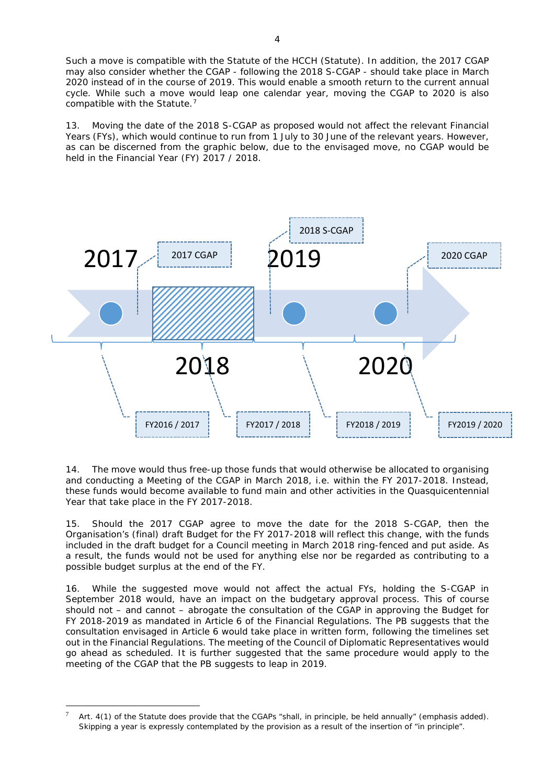Such a move is compatible with the Statute of the HCCH (Statute). In addition, the 2017 CGAP may also consider whether the CGAP - following the 2018 S-CGAP - should take place in March 2020 instead of in the course of 2019. This would enable a smooth return to the current annual cycle. While such a move would leap one calendar year, moving the CGAP to 2020 is also compatible with the Statute.<sup>[7](#page-3-0)</sup>

13. Moving the date of the 2018 S-CGAP as proposed would not affect the relevant Financial Years (FYs), which would continue to run from 1 July to 30 June of the relevant years. However, as can be discerned from the graphic below, due to the envisaged move, no CGAP would be held in the Financial Year (FY) 2017 / 2018.



14. The move would thus free-up those funds that would otherwise be allocated to organising and conducting a Meeting of the CGAP in March 2018, *i.e.* within the FY 2017-2018. Instead, these funds would become available to fund main and other activities in the Quasquicentennial Year that take place in the FY 2017-2018.

15. Should the 2017 CGAP agree to move the date for the 2018 S-CGAP, then the Organisation's (final) draft Budget for the FY 2017-2018 will reflect this change, with the funds included in the draft budget for a Council meeting in March 2018 ring-fenced and put aside. As a result, the funds would not be used for anything else nor be regarded as contributing to a possible budget surplus at the end of the FY.

16. While the suggested move would not affect the actual FYs, holding the S-CGAP in September 2018 would, have an impact on the budgetary approval process. This of course should not – and cannot – abrogate the consultation of the CGAP in approving the Budget for FY 2018-2019 as mandated in Article 6 of the Financial Regulations. The PB suggests that the consultation envisaged in Article 6 would take place in written form, following the timelines set out in the Financial Regulations. The meeting of the Council of Diplomatic Representatives would go ahead as scheduled. It is further suggested that the same procedure would apply to the meeting of the CGAP that the PB suggests to leap in 2019.

<span id="page-3-0"></span> <sup>7</sup> Art. 4(1) of the Statute does provide that the CGAPs "shall, *in principle*, be held annually" (*emphasis added*). Skipping a year is expressly contemplated by the provision as a result of the insertion of "in principle".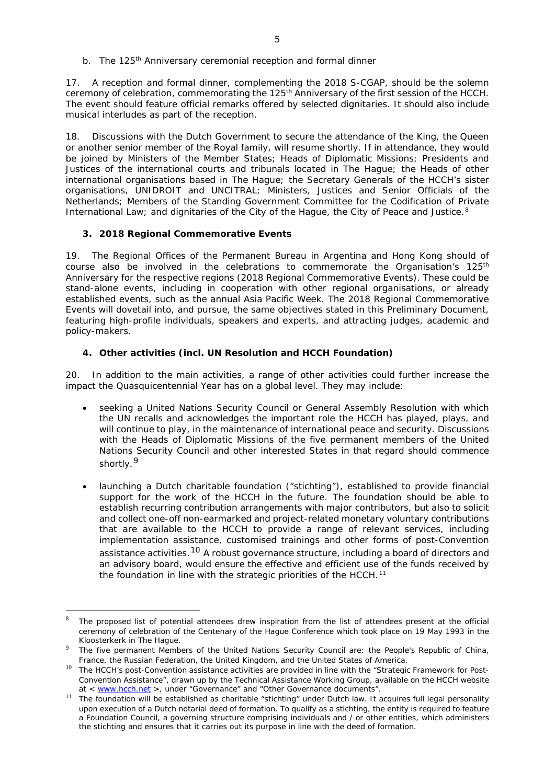17. A reception and formal dinner, complementing the 2018 S-CGAP, should be the solemn ceremony of celebration, commemorating the 125<sup>th</sup> Anniversary of the first session of the HCCH. The event should feature official remarks offered by selected dignitaries. It should also include musical interludes as part of the reception.

18. Discussions with the Dutch Government to secure the attendance of the King, the Queen or another senior member of the Royal family, will resume shortly. If in attendance, they would be joined by Ministers of the Member States; Heads of Diplomatic Missions; Presidents and Justices of the international courts and tribunals located in The Hague; the Heads of other international organisations based in The Hague; the Secretary Generals of the HCCH's sister organisations, UNIDROIT and UNCITRAL; Ministers, Justices and Senior Officials of the Netherlands; Members of the Standing Government Committee for the Codification of Private International Law; and dignitaries of the City of the Hague, the City of Peace and Justice.<sup>[8](#page-4-0)</sup>

### **3. 2018 Regional Commemorative Events**

19. The Regional Offices of the Permanent Bureau in Argentina and Hong Kong should of course also be involved in the celebrations to commemorate the Organisation's  $125<sup>th</sup>$ Anniversary for the respective regions (2018 Regional Commemorative Events). These could be stand-alone events, including in cooperation with other regional organisations, or already established events, such as the annual Asia Pacific Week. The 2018 Regional Commemorative Events will dovetail into, and pursue, the same objectives stated in this Preliminary Document, featuring high-profile individuals, speakers and experts, and attracting judges, academic and policy-makers.

### **4. Other activities (incl. UN Resolution and HCCH Foundation)**

20. In addition to the main activities, a range of other activities could further increase the impact the Quasquicentennial Year has on a global level. They may include:

- seeking a United Nations Security Council or General Assembly Resolution with which the UN recalls and acknowledges the important role the HCCH has played, plays, and will continue to play, in the maintenance of international peace and security. Discussions with the Heads of Diplomatic Missions of the five permanent members of the United Nations Security Council and other interested States in that regard should commence shortly.<sup>[9](#page-4-1)</sup>
- launching a Dutch charitable foundation ("stichting"), established to provide financial support for the work of the HCCH in the future. The foundation should be able to establish recurring contribution arrangements with major contributors, but also to solicit and collect one-off non-earmarked and project-related monetary voluntary contributions that are available to the HCCH to provide a range of relevant services, including implementation assistance, customised trainings and other forms of post-Convention assistance activities.<sup>[10](#page-4-2)</sup> A robust governance structure, including a board of directors and an advisory board, would ensure the effective and efficient use of the funds received by the foundation in line with the strategic priorities of the HCCH.<sup>[11](#page-4-3)</sup>

<span id="page-4-0"></span>The proposed list of potential attendees drew inspiration from the list of attendees present at the official ceremony of celebration of the Centenary of the Hague Conference which took place on 19 May 1993 in the *Kloosterkerk* in The Hague.

<span id="page-4-1"></span>The five permanent Members of the United Nations Security Council are: the People's Republic of China, France, the Russian Federation, the United Kingdom, and the United States of America.

<span id="page-4-2"></span><sup>&</sup>lt;sup>10</sup> The HCCH's post-Convention assistance activities are provided in line with the "Strategic Framework for Post-Convention Assistance", drawn up by the Technical Assistance Working Group, available on the HCCH website at < [www.hcch.net](http://www.hcch.net/) >, under "Governance" and "Other Governance documents".

<span id="page-4-3"></span><sup>&</sup>lt;sup>11</sup> The foundation will be established as charitable "stichting" under Dutch law. It acquires full legal personality upon execution of a Dutch notarial deed of formation. To qualify as a *stichting*, the entity is required to feature a Foundation Council, a governing structure comprising individuals and / or other entities, which administers the *stichting* and ensures that it carries out its purpose in line with the deed of formation.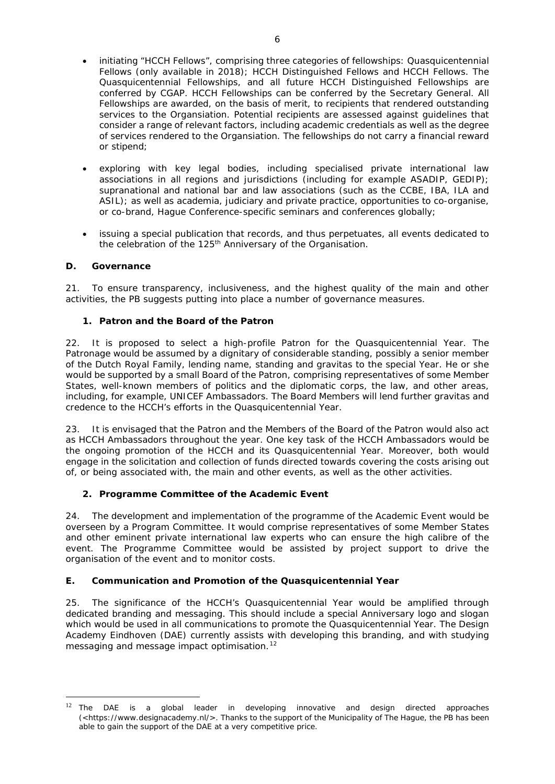- initiating "HCCH Fellows", comprising three categories of fellowships: Quasquicentennial Fellows (only available in 2018); HCCH Distinguished Fellows and HCCH Fellows. The Quasquicentennial Fellowships, and all future HCCH Distinguished Fellowships are conferred by CGAP. HCCH Fellowships can be conferred by the Secretary General. All Fellowships are awarded, on the basis of merit, to recipients that rendered outstanding services to the Organsiation. Potential recipients are assessed against guidelines that consider a range of relevant factors, including academic credentials as well as the degree of services rendered to the Organsiation. The fellowships do not carry a financial reward or stipend;
- exploring with key legal bodies, including specialised private international law associations in all regions and jurisdictions (including for example ASADIP, GEDIP); supranational and national bar and law associations (such as the CCBE, IBA, ILA and ASIL); as well as academia, judiciary and private practice, opportunities to co-organise, or co-brand, Hague Conference-specific seminars and conferences globally;
- issuing a special publication that records, and thus perpetuates, all events dedicated to the celebration of the 125<sup>th</sup> Anniversary of the Organisation.

### **D. Governance**

21. To ensure transparency, inclusiveness, and the highest quality of the main and other activities, the PB suggests putting into place a number of governance measures.

### **1. Patron and the Board of the Patron**

22. It is proposed to select a high-profile Patron for the Quasquicentennial Year. The Patronage would be assumed by a dignitary of considerable standing, possibly a senior member of the Dutch Royal Family, lending name, standing and gravitas to the special Year. He or she would be supported by a small Board of the Patron, comprising representatives of some Member States, well-known members of politics and the diplomatic corps, the law, and other areas, including, for example, UNICEF Ambassadors. The Board Members will lend further gravitas and credence to the HCCH's efforts in the Quasquicentennial Year.

23. It is envisaged that the Patron and the Members of the Board of the Patron would also act as HCCH Ambassadors throughout the year. One key task of the HCCH Ambassadors would be the ongoing promotion of the HCCH and its Quasquicentennial Year. Moreover, both would engage in the solicitation and collection of funds directed towards covering the costs arising out of, or being associated with, the main and other events, as well as the other activities.

#### **2. Programme Committee of the Academic Event**

24. The development and implementation of the programme of the Academic Event would be overseen by a Program Committee. It would comprise representatives of some Member States and other eminent private international law experts who can ensure the high calibre of the event. The Programme Committee would be assisted by project support to drive the organisation of the event and to monitor costs.

### **E. Communication and Promotion of the Quasquicentennial Year**

25. The significance of the HCCH's Quasquicentennial Year would be amplified through dedicated branding and messaging. This should include a special Anniversary logo and slogan which would be used in all communications to promote the Quasquicentennial Year. The Design Academy Eindhoven (DAE) currently assists with developing this branding, and with studying messaging and message impact optimisation.<sup>[12](#page-5-0)</sup>

<span id="page-5-0"></span> $12$  The DAE is a global leader in developing innovative and design directed approaches (<https://www.designacademy.nl/>. Thanks to the support of the Municipality of The Hague, the PB has been able to gain the support of the DAE at a very competitive price.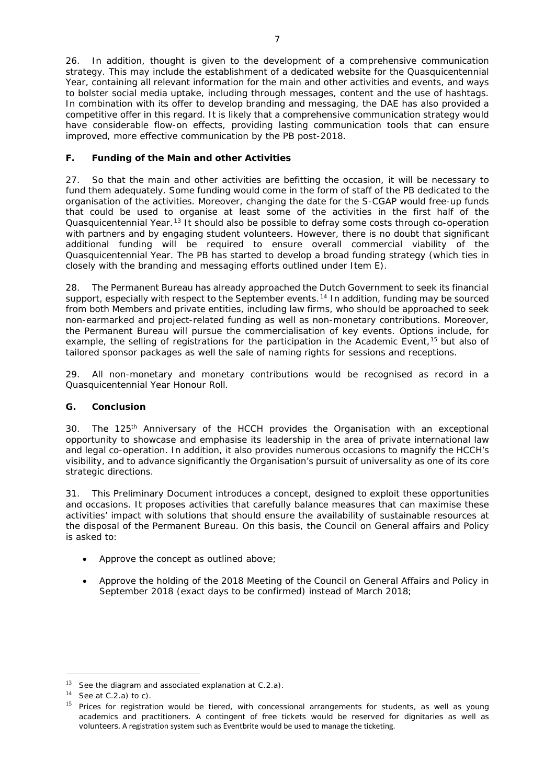26. In addition, thought is given to the development of a comprehensive communication strategy. This may include the establishment of a dedicated website for the Quasquicentennial Year, containing all relevant information for the main and other activities and events, and ways to bolster social media uptake, including through messages, content and the use of hashtags. In combination with its offer to develop branding and messaging, the DAE has also provided a competitive offer in this regard. It is likely that a comprehensive communication strategy would have considerable flow-on effects, providing lasting communication tools that can ensure improved, more effective communication by the PB post-2018.

## **F. Funding of the Main and other Activities**

27. So that the main and other activities are befitting the occasion, it will be necessary to fund them adequately. Some funding would come in the form of staff of the PB dedicated to the organisation of the activities. Moreover, changing the date for the S-CGAP would free-up funds that could be used to organise at least some of the activities in the first half of the Quasquicentennial Year.<sup>[13](#page-6-0)</sup> It should also be possible to defray some costs through co-operation with partners and by engaging student volunteers. However, there is no doubt that significant additional funding will be required to ensure overall commercial viability of the Quasquicentennial Year. The PB has started to develop a broad funding strategy (which ties in closely with the branding and messaging efforts outlined under Item E).

28. The Permanent Bureau has already approached the Dutch Government to seek its financial support, especially with respect to the September events.<sup>[14](#page-6-1)</sup> In addition, funding may be sourced from both Members and private entities, including law firms, who should be approached to seek non-earmarked and project-related funding as well as non-monetary contributions. Moreover, the Permanent Bureau will pursue the commercialisation of key events. Options include, for example, the selling of registrations for the participation in the Academic Event,<sup>[15](#page-6-2)</sup> but also of tailored sponsor packages as well the sale of naming rights for sessions and receptions.

29. All non-monetary and monetary contributions would be recognised as record in a Quasquicentennial Year Honour Roll.

### **G. Conclusion**

30. The 125<sup>th</sup> Anniversary of the HCCH provides the Organisation with an exceptional opportunity to showcase and emphasise its leadership in the area of private international law and legal co-operation. In addition, it also provides numerous occasions to magnify the HCCH's visibility, and to advance significantly the Organisation's pursuit of universality as one of its core strategic directions.

31. This Preliminary Document introduces a concept, designed to exploit these opportunities and occasions. It proposes activities that carefully balance measures that can maximise these activities' impact with solutions that should ensure the availability of sustainable resources at the disposal of the Permanent Bureau. On this basis, the Council on General affairs and Policy is asked to:

- Approve the concept as outlined above;
- Approve the holding of the 2018 Meeting of the Council on General Affairs and Policy in September 2018 (exact days to be confirmed) instead of March 2018;

<span id="page-6-0"></span> $13$  See the diagram and associated explanation at C.2.a).

<span id="page-6-1"></span> $14$  See at C.2.a) to c).

<span id="page-6-2"></span><sup>&</sup>lt;sup>15</sup> Prices for registration would be tiered, with concessional arrangements for students, as well as young academics and practitioners. A contingent of free tickets would be reserved for dignitaries as well as volunteers. A registration system such as Eventbrite would be used to manage the ticketing.